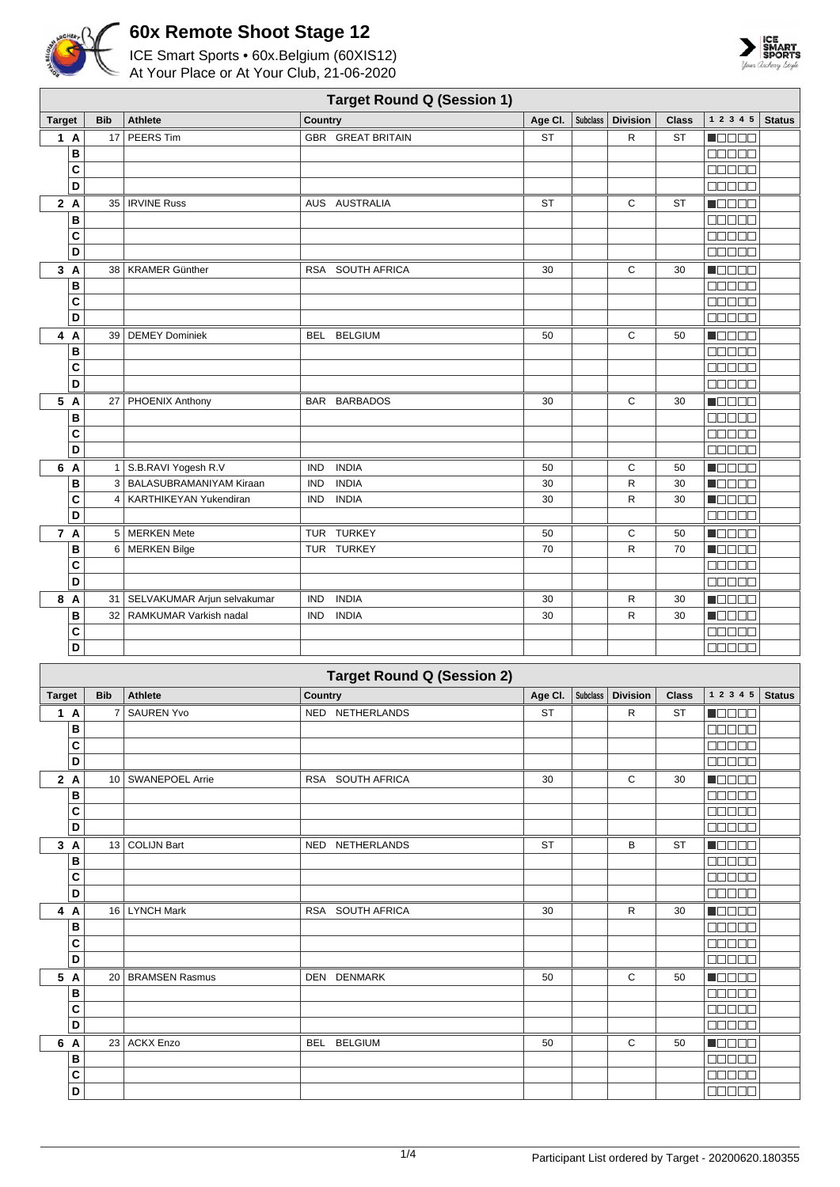



| <b>Target Round Q (Session 1)</b> |                                                                     |            |                                |                            |           |          |                 |              |                                    |               |  |
|-----------------------------------|---------------------------------------------------------------------|------------|--------------------------------|----------------------------|-----------|----------|-----------------|--------------|------------------------------------|---------------|--|
| <b>Target</b>                     |                                                                     | <b>Bib</b> | <b>Athlete</b>                 | <b>Country</b>             | Age CI.   | Subclass | <b>Division</b> | <b>Class</b> | 1 2 3 4 5                          | <b>Status</b> |  |
|                                   | 1 A                                                                 | 17         | PEERS Tim                      | <b>GBR GREAT BRITAIN</b>   | <b>ST</b> |          | R               | <b>ST</b>    | <b>MODOO</b>                       |               |  |
|                                   | B                                                                   |            |                                |                            |           |          |                 |              | 88888                              |               |  |
|                                   | C                                                                   |            |                                |                            |           |          |                 |              | MAN MA                             |               |  |
|                                   | D                                                                   |            |                                |                            |           |          |                 |              | <b>00000</b>                       |               |  |
| 2A                                |                                                                     |            | 35   IRVINE Russ               | AUS AUSTRALIA              | <b>ST</b> |          | C               | <b>ST</b>    | Maaaa                              |               |  |
|                                   | B                                                                   |            |                                |                            |           |          |                 |              | 00000                              |               |  |
|                                   | C                                                                   |            |                                |                            |           |          |                 |              | <b>00000</b>                       |               |  |
|                                   | D                                                                   |            |                                |                            |           |          |                 |              | 00000                              |               |  |
| 3A                                |                                                                     |            | 38   KRAMER Günther            | RSA SOUTH AFRICA           | 30        |          | C               | 30           | $\blacksquare$                     |               |  |
|                                   | в                                                                   |            |                                |                            |           |          |                 |              | <b>00000</b>                       |               |  |
|                                   | C                                                                   |            |                                |                            |           |          |                 |              | <b>BBBBB</b>                       |               |  |
|                                   | D                                                                   |            |                                |                            |           |          |                 |              | 00000                              |               |  |
|                                   | 4 A                                                                 |            | 39   DEMEY Dominiek            | BEL BELGIUM                | 50        |          | C               | 50           | Maaaa                              |               |  |
|                                   | B                                                                   |            |                                |                            |           |          |                 |              | 88888                              |               |  |
|                                   | C                                                                   |            |                                |                            |           |          |                 |              | 00000                              |               |  |
|                                   | D                                                                   |            |                                |                            |           |          |                 |              | $\Box$ $\Box$ $\Box$ $\Box$ $\Box$ |               |  |
| 5 A                               |                                                                     | 27         | PHOENIX Anthony                | BAR BARBADOS               | 30        |          | C               | 30           | <b>REFERENCE</b>                   |               |  |
|                                   | в                                                                   |            |                                |                            |           |          |                 |              | 00000                              |               |  |
|                                   | C                                                                   |            |                                |                            |           |          |                 |              | <b>BBBBB</b>                       |               |  |
|                                   | $\overline{\mathsf{D}}$                                             |            |                                |                            |           |          |                 |              | <b>00000</b>                       |               |  |
| 6 A                               |                                                                     |            | 1 S.B.RAVI Yogesh R.V          | <b>INDIA</b><br><b>IND</b> | 50        |          | C               | 50           | N BEER                             |               |  |
|                                   | B                                                                   |            | 3 BALASUBRAMANIYAM Kiraan      | <b>INDIA</b><br><b>IND</b> | 30        |          | R               | 30           | n da se                            |               |  |
|                                   | C                                                                   |            | 4   KARTHIKEYAN Yukendiran     | <b>INDIA</b><br><b>IND</b> | 30        |          | R               | 30           | Maaaa                              |               |  |
|                                   | D                                                                   |            |                                |                            |           |          |                 |              | <b>00000</b>                       |               |  |
| 7 A                               |                                                                     |            | 5 MERKEN Mete                  | TUR TURKEY                 | 50        |          | C               | 50           | n an an                            |               |  |
|                                   | B                                                                   |            | 6 MERKEN Bilge                 | TUR TURKEY                 | 70        |          | R               | 70           | <b>H</b> OOOO                      |               |  |
|                                   | C                                                                   |            |                                |                            |           |          |                 |              | $\Box \Box \Box \Box \Box$         |               |  |
|                                   | D                                                                   |            |                                |                            |           |          |                 |              | 00000                              |               |  |
| 8 A                               |                                                                     |            | 31 SELVAKUMAR Arjun selvakumar | <b>INDIA</b><br><b>IND</b> | 30        |          | R               | 30           | Mana s                             |               |  |
|                                   | B                                                                   |            | 32 RAMKUMAR Varkish nadal      | <b>INDIA</b><br><b>IND</b> | 30        |          | R               | 30           | n www.                             |               |  |
|                                   | C                                                                   |            |                                |                            |           |          |                 |              | 00000                              |               |  |
|                                   | D                                                                   |            |                                |                            |           |          |                 |              |                                    |               |  |
|                                   | $T_{\text{e}}$ and $D_{\text{e}}$ and $D_{\text{e}}$ (Capalan $D$ ) |            |                                |                            |           |          |                 |              |                                    |               |  |

| <b>Target Round Q (Session 2)</b> |     |                |                      |                                  |           |          |                 |              |              |               |
|-----------------------------------|-----|----------------|----------------------|----------------------------------|-----------|----------|-----------------|--------------|--------------|---------------|
| <b>Target</b>                     |     | <b>Bib</b>     | <b>Athlete</b>       | Country                          | Age Cl.   | Subclass | <b>Division</b> | <b>Class</b> | 1 2 3 4 5    | <b>Status</b> |
|                                   | 1A  | $\overline{7}$ | <b>SAUREN Yvo</b>    | NED NETHERLANDS                  | <b>ST</b> |          | $\mathsf{R}$    | <b>ST</b>    | n En En      |               |
|                                   | в   |                |                      |                                  |           |          |                 |              | nnnnn        |               |
|                                   | C   |                |                      |                                  |           |          |                 |              | eeeee        |               |
|                                   | D   |                |                      |                                  |           |          |                 |              | 88888        |               |
|                                   | 2A  |                | 10   SWANEPOEL Arrie | RSA SOUTH AFRICA                 | 30        |          | C               | 30           | n de er      |               |
|                                   | в   |                |                      |                                  |           |          |                 |              | nnnn         |               |
|                                   | C   |                |                      |                                  |           |          |                 |              | mmmmmm       |               |
|                                   | D   |                |                      |                                  |           |          |                 |              | e se se      |               |
| $\mathbf{3}$                      | A   |                | 13 COLIJN Bart       | <b>NED</b><br><b>NETHERLANDS</b> | <b>ST</b> |          | B               | <b>ST</b>    | <u>Lanna</u> |               |
|                                   | В   |                |                      |                                  |           |          |                 |              | nn nn n      |               |
|                                   | C   |                |                      |                                  |           |          |                 |              | nn nn n      |               |
|                                   | D   |                |                      |                                  |           |          |                 |              | nn nn n      |               |
|                                   | 4 A |                | 16 LYNCH Mark        | RSA SOUTH AFRICA                 | 30        |          | R               | 30           | manar 1      |               |
|                                   | в   |                |                      |                                  |           |          |                 |              | nnnnn        |               |
|                                   | C   |                |                      |                                  |           |          |                 |              | mmmm         |               |
|                                   | D   |                |                      |                                  |           |          |                 |              | <u>onnon</u> |               |
|                                   | 5 A |                | 20 BRAMSEN Rasmus    | DEN DENMARK                      | 50        |          | C               | 50           | <b>NOCE</b>  |               |
|                                   | в   |                |                      |                                  |           |          |                 |              | 80000        |               |
|                                   | C   |                |                      |                                  |           |          |                 |              | eeeee        |               |
|                                   | D   |                |                      |                                  |           |          |                 |              | Maaaa        |               |
|                                   | 6 A |                | 23 ACKX Enzo         | <b>BELGIUM</b><br><b>BEL</b>     | 50        |          | $\mathsf{C}$    | 50           | n a sa s     |               |
|                                   | В   |                |                      |                                  |           |          |                 |              | 88886        |               |
|                                   | C   |                |                      |                                  |           |          |                 |              | MA MAR       |               |
|                                   | D   |                |                      |                                  |           |          |                 |              | eeeee        |               |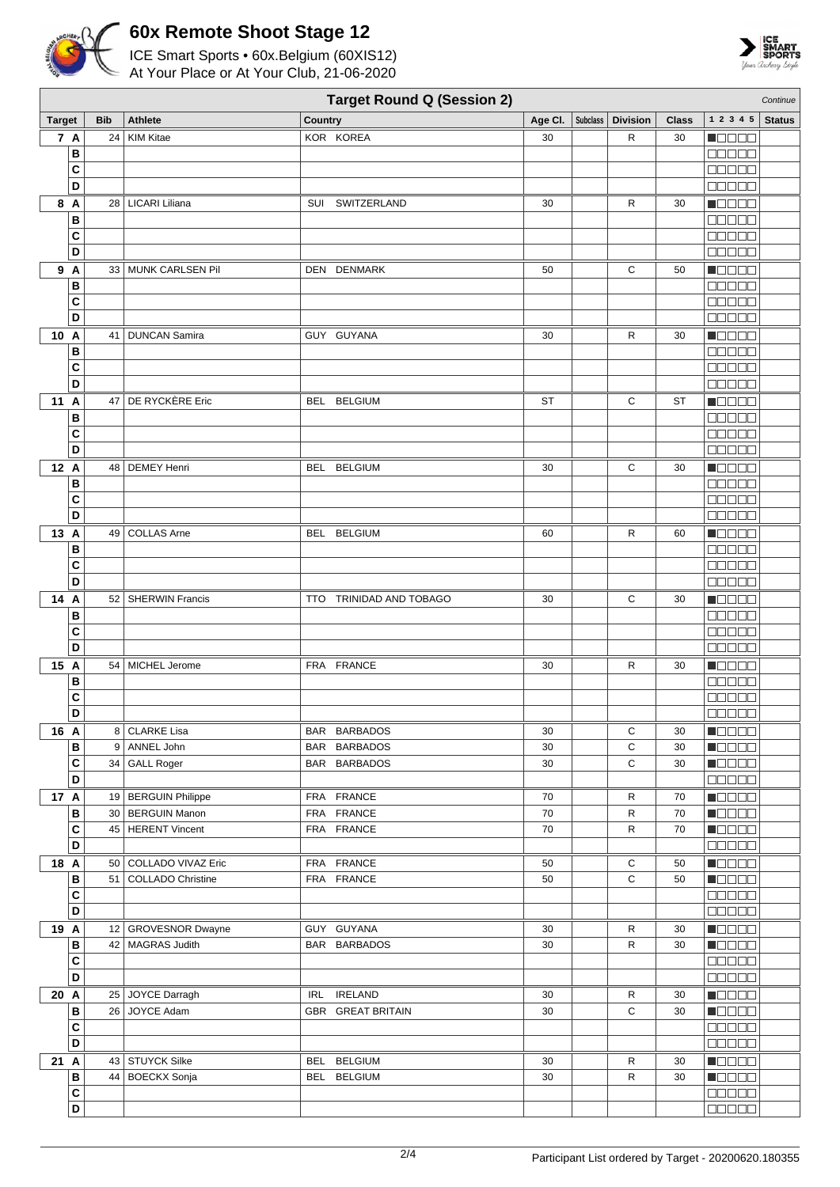



|                         | <b>Target Round Q (Session 2)</b><br>Continue |                       |                            |                     |                 |              |                                                             |               |  |  |
|-------------------------|-----------------------------------------------|-----------------------|----------------------------|---------------------|-----------------|--------------|-------------------------------------------------------------|---------------|--|--|
| <b>Target</b>           | <b>Bib</b>                                    | <b>Athlete</b>        | Country                    | Subclass<br>Age CI. | <b>Division</b> | <b>Class</b> | 1 2 3 4 5                                                   | <b>Status</b> |  |  |
| 7 A                     | 24                                            | <b>KIM Kitae</b>      | KOR KOREA                  | 30                  | R               | 30           | N E E E E                                                   |               |  |  |
| в                       |                                               |                       |                            |                     |                 |              | an da a                                                     |               |  |  |
| $\mathbf c$             |                                               |                       |                            |                     |                 |              | <b>BBBBB</b>                                                |               |  |  |
| D                       |                                               |                       |                            |                     |                 |              | <b>BBBBB</b>                                                |               |  |  |
| 8 A                     |                                               | 28   LICARI Liliana   | SWITZERLAND<br>SUI         | 30                  | R               | 30           | Maaaa                                                       |               |  |  |
| B                       |                                               |                       |                            |                     |                 |              | <b>BBBBB</b>                                                |               |  |  |
| C                       |                                               |                       |                            |                     |                 |              | 00000                                                       |               |  |  |
| D                       |                                               |                       |                            |                     |                 |              | 00000                                                       |               |  |  |
|                         |                                               |                       |                            |                     |                 |              |                                                             |               |  |  |
| 9 A                     |                                               | 33 MUNK CARLSEN Pil   | DEN DENMARK                | 50                  | C               | 50           | Maaaa                                                       |               |  |  |
| в                       |                                               |                       |                            |                     |                 |              | 00000                                                       |               |  |  |
| C                       |                                               |                       |                            |                     |                 |              | 00000                                                       |               |  |  |
| D                       |                                               |                       |                            |                     |                 |              | <b>00000</b>                                                |               |  |  |
| 10 A                    |                                               | 41   DUNCAN Samira    | GUY GUYANA                 | 30                  | R               | 30           | <b>NOCOC</b>                                                |               |  |  |
| в                       |                                               |                       |                            |                     |                 |              | <b>BBBBB</b>                                                |               |  |  |
| C                       |                                               |                       |                            |                     |                 |              | <b>00000</b>                                                |               |  |  |
| D                       |                                               |                       |                            |                     |                 |              | 00000                                                       |               |  |  |
| 11 A                    |                                               | 47 DE RYCKÈRE Eric    | BEL BELGIUM                | <b>ST</b>           | С               | ST           | $\blacksquare$                                              |               |  |  |
| B                       |                                               |                       |                            |                     |                 |              | <b>00000</b>                                                |               |  |  |
| C                       |                                               |                       |                            |                     |                 |              | 00000                                                       |               |  |  |
| D                       |                                               |                       |                            |                     |                 |              | <b>ODDDD</b>                                                |               |  |  |
| 12 A                    | 48                                            | <b>DEMEY Henri</b>    | BEL BELGIUM                | 30                  | С               | 30           | n 880a                                                      |               |  |  |
| в                       |                                               |                       |                            |                     |                 |              | 00000                                                       |               |  |  |
| C                       |                                               |                       |                            |                     |                 |              | 00000                                                       |               |  |  |
| D                       |                                               |                       |                            |                     |                 |              | 00000                                                       |               |  |  |
| 13 A                    | 49                                            | <b>COLLAS Arne</b>    | <b>BELGIUM</b><br>BEL      | 60                  | R               | 60           | HOOOO                                                       |               |  |  |
| B                       |                                               |                       |                            |                     |                 |              |                                                             |               |  |  |
| C                       |                                               |                       |                            |                     |                 |              | 00000                                                       |               |  |  |
| D                       |                                               |                       |                            |                     |                 |              | <b>BBBBB</b>                                                |               |  |  |
| 14 A                    |                                               | 52   SHERWIN Francis  | TRINIDAD AND TOBAGO<br>TTO | 30                  | С               | 30           | <b>Madaa</b>                                                |               |  |  |
| в                       |                                               |                       |                            |                     |                 |              | <b>00000</b>                                                |               |  |  |
| C                       |                                               |                       |                            |                     |                 |              | <b>00000</b>                                                |               |  |  |
| D                       |                                               |                       |                            |                     |                 |              | 00000                                                       |               |  |  |
|                         |                                               | 54 MICHEL Jerome      |                            |                     |                 |              |                                                             |               |  |  |
| 15 A<br>в               |                                               |                       | FRA FRANCE                 | 30                  | R               | 30           | <b>Reces</b>                                                |               |  |  |
|                         |                                               |                       |                            |                     |                 |              | <b>BBBBB</b>                                                |               |  |  |
| C                       |                                               |                       |                            |                     |                 |              | <b>MODOO</b>                                                |               |  |  |
| D                       |                                               |                       |                            |                     |                 |              | <b>00000</b>                                                |               |  |  |
| 16 A                    |                                               | 8   CLARKE Lisa       | BAR BARBADOS               | 30                  | С               | 30           | $\blacksquare$ $\blacksquare$ $\blacksquare$ $\blacksquare$ |               |  |  |
| B                       |                                               | 9 ANNEL John          | BAR BARBADOS               | 30                  | C               | 30           | $\blacksquare$ $\square$ $\square$ $\square$                |               |  |  |
| $\mathbf{C}$            |                                               | 34 GALL Roger         | BAR BARBADOS               | 30                  | $\mathbf C$     | 30           | $\blacksquare$ $\square$ $\square$ $\square$                |               |  |  |
| D                       |                                               |                       |                            |                     |                 |              | <b>00000</b>                                                |               |  |  |
| 17 A                    |                                               | 19 BERGUIN Philippe   | FRA FRANCE                 | 70                  | R               | 70           | $\blacksquare$ $\blacksquare$ $\blacksquare$                |               |  |  |
| B                       |                                               | 30   BERGUIN Manon    | FRA FRANCE                 | 70                  | $\mathsf{R}$    | 70           | $\blacksquare$                                              |               |  |  |
| $\mathbf{C}$            |                                               | 45   HERENT Vincent   | FRA FRANCE                 | 70                  | R               | 70           | $\blacksquare$ $\square$ $\square$ $\square$                |               |  |  |
| D                       |                                               |                       |                            |                     |                 |              | 00000                                                       |               |  |  |
| 18 A                    |                                               | 50 COLLADO VIVAZ Eric | FRA FRANCE                 | 50                  | С               | 50           | Maaaa                                                       |               |  |  |
| B                       |                                               | 51 COLLADO Christine  | FRA FRANCE                 | 50                  | C               | 50           | <b>Reces</b>                                                |               |  |  |
| $\mathbf c$             |                                               |                       |                            |                     |                 |              | 00000                                                       |               |  |  |
| D                       |                                               |                       |                            |                     |                 |              | <b>00000</b>                                                |               |  |  |
| 19 A                    |                                               | 12 GROVESNOR Dwayne   | GUY GUYANA                 | 30                  | R               | 30           | <b>Madaa</b>                                                |               |  |  |
| B                       |                                               | 42   MAGRAS Judith    | BAR BARBADOS               | 30                  | R               | 30           | <b>H</b> OOOO                                               |               |  |  |
| $\mathbf{C}$            |                                               |                       |                            |                     |                 |              | 88888                                                       |               |  |  |
| D                       |                                               |                       |                            |                     |                 |              | 00000                                                       |               |  |  |
| 20 A                    |                                               | 25 JOYCE Darragh      | IRL IRELAND                | 30                  | R               | 30           | $\blacksquare$ $\blacksquare$ $\blacksquare$ $\blacksquare$ |               |  |  |
| В                       |                                               | 26 JOYCE Adam         | <b>GBR GREAT BRITAIN</b>   | 30                  | С               | 30           | $\blacksquare$                                              |               |  |  |
| $\mathbf{C}$            |                                               |                       |                            |                     |                 |              | 00000                                                       |               |  |  |
| D                       |                                               |                       |                            |                     |                 |              | <b>00000</b>                                                |               |  |  |
| 21 A                    |                                               | 43 STUYCK Silke       | BEL BELGIUM                | 30                  | $\mathsf{R}$    | 30           | $\blacksquare$                                              |               |  |  |
| B                       |                                               | 44 BOECKX Sonja       | BEL BELGIUM                | 30                  | R               | 30           | <b>H</b> eece                                               |               |  |  |
| $\overline{\mathbf{c}}$ |                                               |                       |                            |                     |                 |              | 00000                                                       |               |  |  |
| $\overline{D}$          |                                               |                       |                            |                     |                 |              | 00000                                                       |               |  |  |
|                         |                                               |                       |                            |                     |                 |              |                                                             |               |  |  |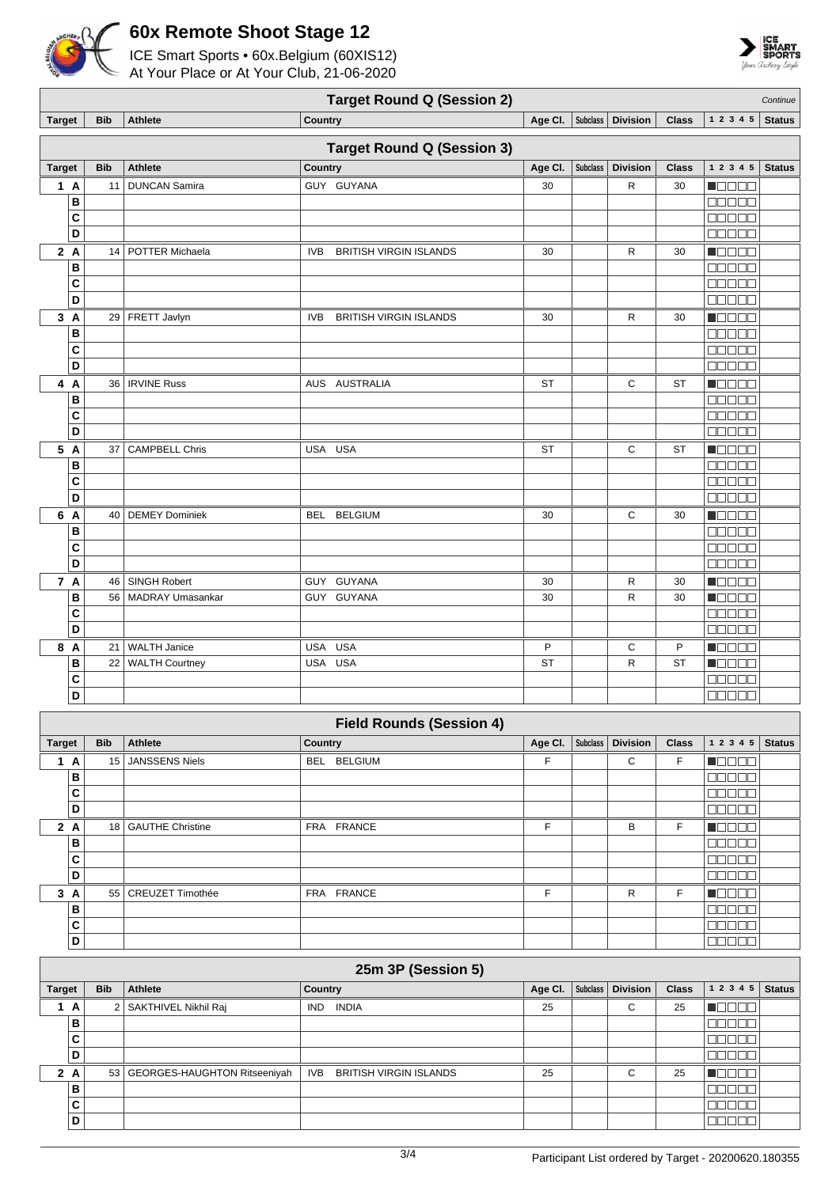



| <b>Target Round Q (Session 2)</b><br>Continue |                |                              |                                        |            |                                 |               |                 |                               |              |                            |               |
|-----------------------------------------------|----------------|------------------------------|----------------------------------------|------------|---------------------------------|---------------|-----------------|-------------------------------|--------------|----------------------------|---------------|
| <b>Target</b>                                 |                | <b>Bib</b>                   | <b>Athlete</b>                         | Country    |                                 |               |                 | Age CI.   Subclass   Division | <b>Class</b> | 1 2 3 4 5                  | <b>Status</b> |
| <b>Target Round Q (Session 3)</b>             |                |                              |                                        |            |                                 |               |                 |                               |              |                            |               |
| <b>Target</b>                                 |                | <b>Bib</b>                   | <b>Athlete</b>                         | Country    |                                 | Age Cl.       | <b>Subclass</b> | <b>Division</b>               | <b>Class</b> | 1 2 3 4 5                  | <b>Status</b> |
| $\mathbf{1}$                                  | A              | 11                           | <b>DUNCAN Samira</b>                   |            | GUY GUYANA                      | 30            |                 | R                             | 30           | N OO O O                   |               |
|                                               | B              |                              |                                        |            |                                 |               |                 |                               |              | Maaa a                     |               |
|                                               | C              |                              |                                        |            |                                 |               |                 |                               |              | aaaaa                      |               |
|                                               | D              |                              |                                        |            |                                 |               |                 |                               |              | 00000                      |               |
|                                               | 2A             |                              | 14 POTTER Michaela                     | <b>IVB</b> | <b>BRITISH VIRGIN ISLANDS</b>   | 30            |                 | R                             | 30           | MOOO O<br><b>DOODO</b>     |               |
|                                               | В<br>C         |                              |                                        |            |                                 |               |                 |                               |              | <b>NODEL</b>               |               |
|                                               | D              |                              |                                        |            |                                 |               |                 |                               |              | <b>00000</b>               |               |
|                                               | 3A             |                              | 29 FRETT Javlyn                        | IVB        | <b>BRITISH VIRGIN ISLANDS</b>   | 30            |                 | R                             | 30           | <b>Magaa</b>               |               |
|                                               | B              |                              |                                        |            |                                 |               |                 |                               |              | <u>maaaa</u>               |               |
|                                               | C              |                              |                                        |            |                                 |               |                 |                               |              | 88888                      |               |
|                                               | D              |                              |                                        |            |                                 |               |                 |                               |              | 88888                      |               |
|                                               | 4 A            |                              | 36   IRVINE Russ                       |            | AUS AUSTRALIA                   | ST            |                 | С                             | ST           | n oo oo a<br><b>BBBBB</b>  |               |
|                                               | В<br>C         |                              |                                        |            |                                 |               |                 |                               |              | <b>BOBBO</b>               |               |
|                                               | D              |                              |                                        |            |                                 |               |                 |                               |              | <b>MARGE</b>               |               |
| 5                                             | $\overline{A}$ |                              | 37   CAMPBELL Chris                    | USA USA    |                                 | <b>ST</b>     |                 | C                             | ST           | <b>MODOO</b>               |               |
|                                               | B              |                              |                                        |            |                                 |               |                 |                               |              | aaaaa                      |               |
|                                               | C              |                              |                                        |            |                                 |               |                 |                               |              | Ma sa s                    |               |
|                                               | D              |                              |                                        |            |                                 |               |                 |                               |              | 88888                      |               |
|                                               | 6 A            | 40                           | <b>DEMEY Dominiek</b>                  |            | BEL BELGIUM                     | 30            |                 | С                             | 30           | n Els Els                  |               |
|                                               | B<br>C         |                              |                                        |            |                                 |               |                 |                               |              | MA NA U<br>00000           |               |
|                                               | D              |                              |                                        |            |                                 |               |                 |                               |              | 80000                      |               |
|                                               | 7 A            |                              | 46   SINGH Robert                      |            | GUY GUYANA                      | 30            |                 | R                             | 30           | MONDO                      |               |
|                                               | B              |                              | 56   MADRAY Umasankar                  |            | GUY GUYANA                      | 30            |                 | ${\sf R}$                     | 30           | N E E E E                  |               |
|                                               | C              |                              |                                        |            |                                 |               |                 |                               |              | <b>NNO DE</b>              |               |
|                                               | D              |                              |                                        |            |                                 |               |                 |                               |              | 00000                      |               |
|                                               | 8 A            | 21                           | <b>WALTH Janice</b>                    | USA USA    |                                 | P             |                 | C                             | P            | Maaaa                      |               |
|                                               | В<br>C         | 22                           | <b>WALTH Courtney</b>                  | USA USA    |                                 | ST            |                 | $\mathsf R$                   | <b>ST</b>    | Manaa<br><b>00000</b>      |               |
|                                               | D              |                              |                                        |            |                                 |               |                 |                               |              | <b>ROBOT</b>               |               |
|                                               |                |                              |                                        |            |                                 |               |                 |                               |              |                            |               |
|                                               |                |                              |                                        |            | <b>Field Rounds (Session 4)</b> |               |                 |                               |              |                            |               |
| <b>Target</b>                                 |                | <b>Bib</b>                   | Athlete                                | Country    |                                 | Age Cl.       | Subclass        | <b>Division</b>               | <b>Class</b> | 1 2 3 4 5                  | <b>Status</b> |
|                                               | 1 A<br>B       | 15                           | <b>JANSSENS Niels</b>                  |            | BEL BELGIUM                     | F             |                 | С                             | F            | MOO OO<br>00000            |               |
|                                               | C              |                              |                                        |            |                                 |               |                 |                               |              | 00000                      |               |
|                                               | D              |                              |                                        |            |                                 |               |                 |                               |              | 88888                      |               |
|                                               | 2A             |                              | 18   GAUTHE Christine                  |            | FRA FRANCE                      | F             |                 | В                             | F            | Maaaa                      |               |
|                                               | В              |                              |                                        |            |                                 |               |                 |                               |              | <b>BOBBB</b>               |               |
|                                               | C              |                              |                                        |            |                                 |               |                 |                               |              | 00000                      |               |
|                                               | D<br>3A        |                              | 55 CREUZET Timothée                    |            | FRA FRANCE                      | F             |                 | R                             | F            | 00000<br>$\blacksquare$    |               |
|                                               | В              |                              |                                        |            |                                 |               |                 |                               |              | eeee                       |               |
|                                               | C              |                              |                                        |            |                                 |               |                 |                               |              | <b>REBEE</b>               |               |
|                                               | D              |                              |                                        |            |                                 |               |                 |                               |              | 00000                      |               |
|                                               |                |                              |                                        |            | 25m 3P (Session 5)              |               |                 |                               |              |                            |               |
| Country                                       |                |                              |                                        |            |                                 |               |                 |                               |              |                            |               |
| <b>Target</b>                                 | 1A             | <b>Bib</b><br>$\overline{2}$ | <b>Athlete</b><br>SAKTHIVEL Nikhil Raj |            | IND INDIA                       | Age CI.<br>25 | <b>Subclass</b> | <b>Division</b><br>C          | Class<br>25  | 1 2 3 4 5<br><b>Manaa</b>  | <b>Status</b> |
|                                               | в              |                              |                                        |            |                                 |               |                 |                               |              | 88888                      |               |
|                                               | C              |                              |                                        |            |                                 |               |                 |                               |              | 00000                      |               |
|                                               | D              |                              |                                        |            |                                 |               |                 |                               |              | 88888                      |               |
|                                               | 2A             |                              | 53   GEORGES-HAUGHTON Ritseeniyah      | IVB        | <b>BRITISH VIRGIN ISLANDS</b>   | 25            |                 | С                             | 25           | Maaaa                      |               |
|                                               | B              |                              |                                        |            |                                 |               |                 |                               |              | <b>BBBBB</b>               |               |
|                                               | C<br>D         |                              |                                        |            |                                 |               |                 |                               |              | $\Box \Box \Box \Box \Box$ |               |
|                                               |                |                              |                                        |            |                                 |               |                 |                               |              |                            |               |